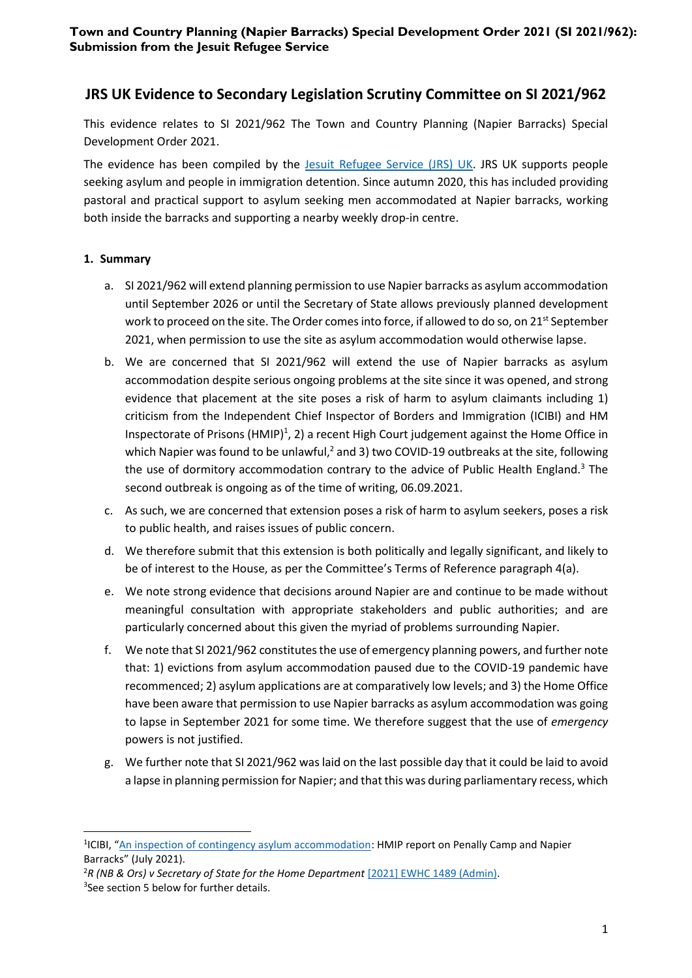# **JRS UK Evidence to Secondary Legislation Scrutiny Committee on SI 2021/962**

This evidence relates to SI 2021/962 The Town and Country Planning (Napier Barracks) Special Development Order 2021.

The evidence has been compiled by the [Jesuit Refugee Service \(JRS\) UK.](http://www.jrsuk.net/) JRS UK supports people seeking asylum and people in immigration detention. Since autumn 2020, this has included providing pastoral and practical support to asylum seeking men accommodated at Napier barracks, working both inside the barracks and supporting a nearby weekly drop-in centre.

# **1. Summary**

- a. SI 2021/962 will extend planning permission to use Napier barracks as asylum accommodation until September 2026 or until the Secretary of State allows previously planned development work to proceed on the site. The Order comes into force, if allowed to do so, on 21st September 2021, when permission to use the site as asylum accommodation would otherwise lapse.
- b. We are concerned that SI 2021/962 will extend the use of Napier barracks as asylum accommodation despite serious ongoing problems at the site since it was opened, and strong evidence that placement at the site poses a risk of harm to asylum claimants including 1) criticism from the Independent Chief Inspector of Borders and Immigration (ICIBI) and HM Inspectorate of Prisons (HMIP)<sup>1</sup>, 2) a recent High Court judgement against the Home Office in which Napier was found to be unlawful,<sup>2</sup> and 3) two COVID-19 outbreaks at the site, following the use of dormitory accommodation contrary to the advice of Public Health England.<sup>3</sup> The second outbreak is ongoing as of the time of writing, 06.09.2021.
- c. As such, we are concerned that extension poses a risk of harm to asylum seekers, poses a risk to public health, and raises issues of public concern.
- d. We therefore submit that this extension is both politically and legally significant, and likely to be of interest to the House, as per the Committee's Terms of Reference paragraph 4(a).
- e. We note strong evidence that decisions around Napier are and continue to be made without meaningful consultation with appropriate stakeholders and public authorities; and are particularly concerned about this given the myriad of problems surrounding Napier.
- f. We note that SI 2021/962 constitutes the use of emergency planning powers, and further note that: 1) evictions from asylum accommodation paused due to the COVID-19 pandemic have recommenced; 2) asylum applications are at comparatively low levels; and 3) the Home Office have been aware that permission to use Napier barracks as asylum accommodation was going to lapse in September 2021 for some time. We therefore suggest that the use of *emergency* powers is not justified.
- g. We further note that SI 2021/962 was laid on the last possible day that it could be laid to avoid a lapse in planning permission for Napier; and that this was during parliamentary recess, which

<sup>&</sup>lt;sup>1</sup>ICIBI, "[An inspection of contingency asylum accommodation:](https://www.gov.uk/government/publications/an-inspection-of-contingency-asylum-accommodation-hmip-report-on-penally-camp-and-napier-barracks) HMIP report on Penally Camp and Napier Barracks" (July 2021).

<sup>2</sup>*[R \(NB & Ors\) v Secretary of State for the Home Department](https://www.bailii.org/ew/cases/EWHC/Admin/2021/1489.html)* [2021] EWHC 1489 (Admin). <sup>3</sup>See section 5 below for further details.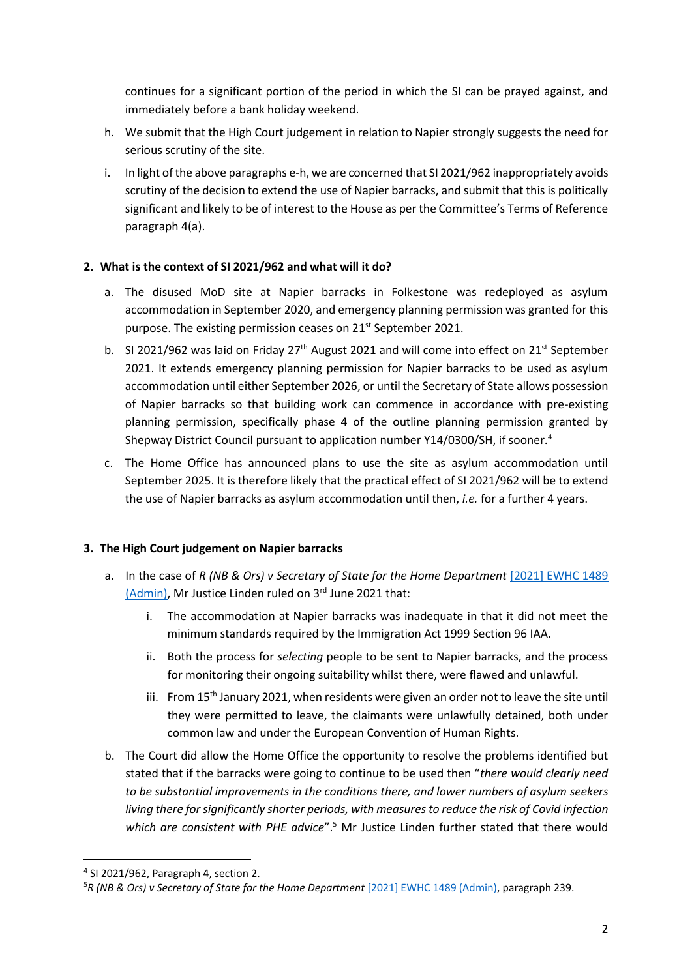continues for a significant portion of the period in which the SI can be prayed against, and immediately before a bank holiday weekend.

- h. We submit that the High Court judgement in relation to Napier strongly suggests the need for serious scrutiny of the site.
- i. In light ofthe above paragraphs e-h, we are concerned that SI 2021/962 inappropriately avoids scrutiny of the decision to extend the use of Napier barracks, and submit that this is politically significant and likely to be of interest to the House as per the Committee's Terms of Reference paragraph 4(a).

# **2. What is the context of SI 2021/962 and what will it do?**

- a. The disused MoD site at Napier barracks in Folkestone was redeployed as asylum accommodation in September 2020, and emergency planning permission was granted for this purpose. The existing permission ceases on 21<sup>st</sup> September 2021.
- b. SI 2021/962 was laid on Friday  $27<sup>th</sup>$  August 2021 and will come into effect on  $21<sup>st</sup>$  September 2021. It extends emergency planning permission for Napier barracks to be used as asylum accommodation until either September 2026, or until the Secretary of State allows possession of Napier barracks so that building work can commence in accordance with pre-existing planning permission, specifically phase 4 of the outline planning permission granted by Shepway District Council pursuant to application number Y14/0300/SH, if sooner.<sup>4</sup>
- c. The Home Office has announced plans to use the site as asylum accommodation until September 2025. It is therefore likely that the practical effect of SI 2021/962 will be to extend the use of Napier barracks as asylum accommodation until then, *i.e.* for a further 4 years.

# **3. The High Court judgement on Napier barracks**

- a. In the case of *R* (NB & Ors) v Secretary of State for the Home Department [2021] EWHC 1489 [\(Admin\),](https://www.bailii.org/ew/cases/EWHC/Admin/2021/1489.html) Mr Justice Linden ruled on 3<sup>rd</sup> June 2021 that:
	- i. The accommodation at Napier barracks was inadequate in that it did not meet the minimum standards required by the Immigration Act 1999 Section 96 IAA.
	- ii. Both the process for *selecting* people to be sent to Napier barracks, and the process for monitoring their ongoing suitability whilst there, were flawed and unlawful.
	- iii. From  $15<sup>th</sup>$  January 2021, when residents were given an order not to leave the site until they were permitted to leave, the claimants were unlawfully detained, both under common law and under the European Convention of Human Rights.
- b. The Court did allow the Home Office the opportunity to resolve the problems identified but stated that if the barracks were going to continue to be used then "*there would clearly need to be substantial improvements in the conditions there, and lower numbers of asylum seekers living there for significantly shorter periods, with measures to reduce the risk of Covid infection* which are consistent with PHE advice".<sup>5</sup> Mr Justice Linden further stated that there would

<sup>4</sup> SI 2021/962, Paragraph 4, section 2.

<sup>&</sup>lt;sup>5</sup>[R \(NB & Ors\) v Secretary of State for the Home Department](https://www.bailii.org/ew/cases/EWHC/Admin/2021/1489.html) [2021] EWHC 1489 (Admin), paragraph 239.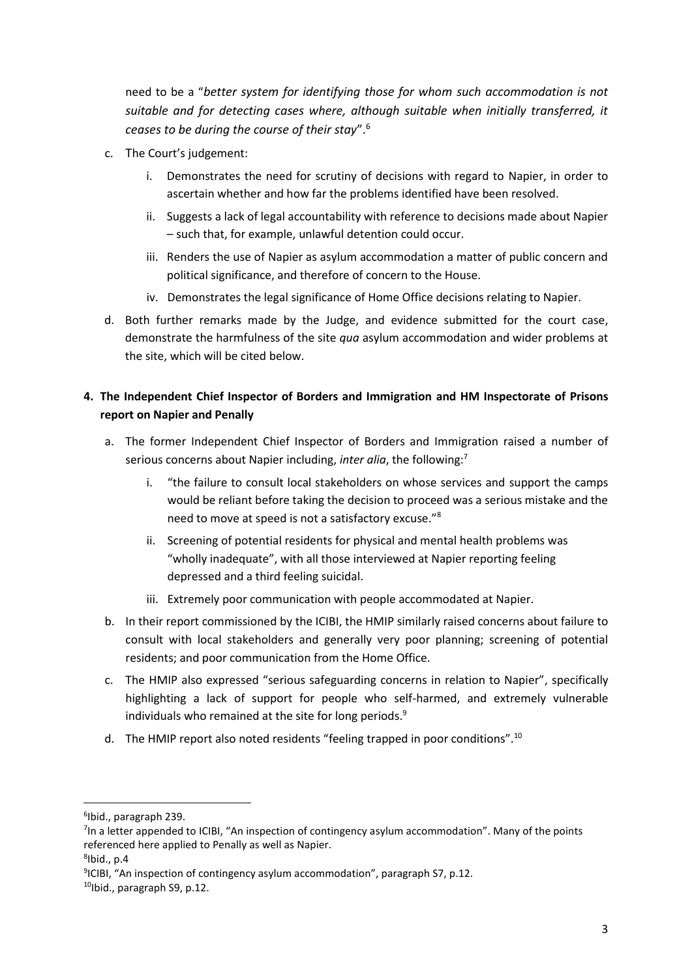need to be a "*better system for identifying those for whom such accommodation is not suitable and for detecting cases where, although suitable when initially transferred, it ceases to be during the course of their stay*".<sup>6</sup>

- c. The Court's judgement:
	- i. Demonstrates the need for scrutiny of decisions with regard to Napier, in order to ascertain whether and how far the problems identified have been resolved.
	- ii. Suggests a lack of legal accountability with reference to decisions made about Napier – such that, for example, unlawful detention could occur.
	- iii. Renders the use of Napier as asylum accommodation a matter of public concern and political significance, and therefore of concern to the House.
	- iv. Demonstrates the legal significance of Home Office decisions relating to Napier.
- d. Both further remarks made by the Judge, and evidence submitted for the court case, demonstrate the harmfulness of the site *qua* asylum accommodation and wider problems at the site, which will be cited below.

# **4. The Independent Chief Inspector of Borders and Immigration and HM Inspectorate of Prisons report on Napier and Penally**

- a. The former Independent Chief Inspector of Borders and Immigration raised a number of serious concerns about Napier including, *inter alia*, the following:<sup>7</sup>
	- i. "the failure to consult local stakeholders on whose services and support the camps would be reliant before taking the decision to proceed was a serious mistake and the need to move at speed is not a satisfactory excuse."<sup>8</sup>
	- ii. Screening of potential residents for physical and mental health problems was "wholly inadequate", with all those interviewed at Napier reporting feeling depressed and a third feeling suicidal.
	- iii. Extremely poor communication with people accommodated at Napier.
- b. In their report commissioned by the ICIBI, the HMIP similarly raised concerns about failure to consult with local stakeholders and generally very poor planning; screening of potential residents; and poor communication from the Home Office.
- c. The HMIP also expressed "serious safeguarding concerns in relation to Napier", specifically highlighting a lack of support for people who self-harmed, and extremely vulnerable individuals who remained at the site for long periods.<sup>9</sup>
- d. The HMIP report also noted residents "feeling trapped in poor conditions".<sup>10</sup>

<sup>6</sup> Ibid., paragraph 239.

<sup>&</sup>lt;sup>7</sup>In a letter appended to ICIBI, "An inspection of contingency asylum accommodation". Many of the points referenced here applied to Penally as well as Napier.

 $8$ Ibid., p.4

<sup>9</sup> ICIBI, "An inspection of contingency asylum accommodation", paragraph S7, p.12.

 $10$ Ibid., paragraph S9, p.12.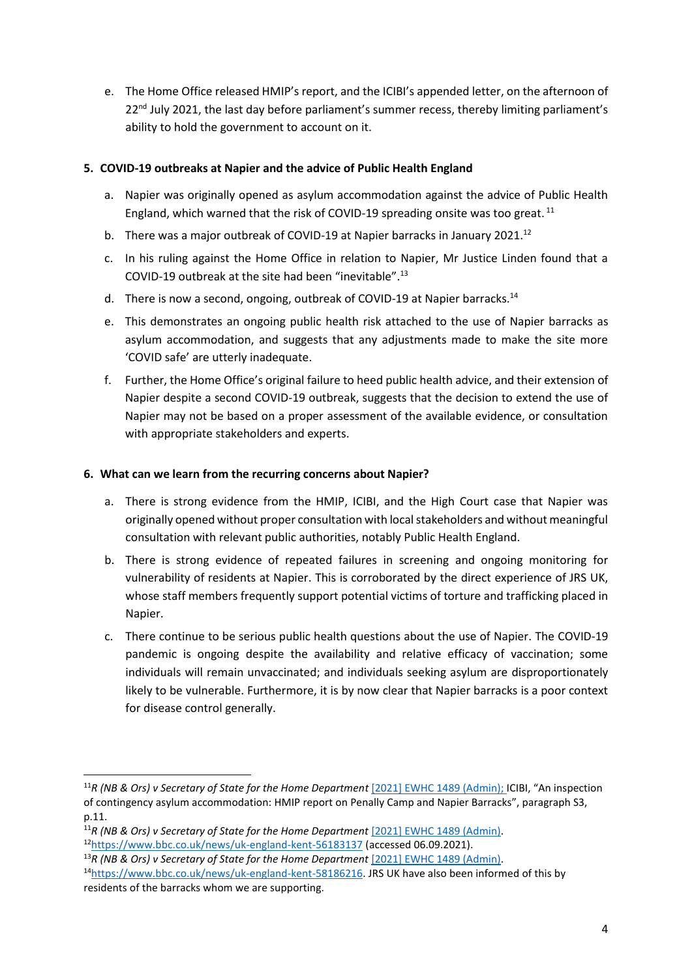e. The Home Office released HMIP's report, and the ICIBI's appended letter, on the afternoon of 22<sup>nd</sup> July 2021, the last day before parliament's summer recess, thereby limiting parliament's ability to hold the government to account on it.

# **5. COVID-19 outbreaks at Napier and the advice of Public Health England**

- a. Napier was originally opened as asylum accommodation against the advice of Public Health England, which warned that the risk of COVID-19 spreading onsite was too great. <sup>11</sup>
- b. There was a major outbreak of COVID-19 at Napier barracks in January 2021.<sup>12</sup>
- c. In his ruling against the Home Office in relation to Napier, Mr Justice Linden found that a COVID-19 outbreak at the site had been "inevitable".<sup>13</sup>
- d. There is now a second, ongoing, outbreak of COVID-19 at Napier barracks.<sup>14</sup>
- e. This demonstrates an ongoing public health risk attached to the use of Napier barracks as asylum accommodation, and suggests that any adjustments made to make the site more 'COVID safe' are utterly inadequate.
- f. Further, the Home Office's original failure to heed public health advice, and their extension of Napier despite a second COVID-19 outbreak, suggests that the decision to extend the use of Napier may not be based on a proper assessment of the available evidence, or consultation with appropriate stakeholders and experts.

# **6. What can we learn from the recurring concerns about Napier?**

- a. There is strong evidence from the HMIP, ICIBI, and the High Court case that Napier was originally opened without proper consultation with local stakeholders and without meaningful consultation with relevant public authorities, notably Public Health England.
- b. There is strong evidence of repeated failures in screening and ongoing monitoring for vulnerability of residents at Napier. This is corroborated by the direct experience of JRS UK, whose staff members frequently support potential victims of torture and trafficking placed in Napier.
- c. There continue to be serious public health questions about the use of Napier. The COVID-19 pandemic is ongoing despite the availability and relative efficacy of vaccination; some individuals will remain unvaccinated; and individuals seeking asylum are disproportionately likely to be vulnerable. Furthermore, it is by now clear that Napier barracks is a poor context for disease control generally.

- <sup>11</sup>[R \(NB & Ors\) v Secretary of State for the Home Department](https://www.bailii.org/ew/cases/EWHC/Admin/2021/1489.html) [2021] EWHC 1489 (Admin).
- <sup>12</sup><https://www.bbc.co.uk/news/uk-england-kent-56183137> (accessed 06.09.2021). <sup>13</sup>[R \(NB & Ors\) v Secretary of State for the Home Department](https://www.bailii.org/ew/cases/EWHC/Admin/2021/1489.html) [2021] EWHC 1489 (Admin).
- <sup>14</sup>[https://www.bbc.co.uk/news/uk-england-kent-58186216.](https://www.bbc.co.uk/news/uk-england-kent-58186216) JRS UK have also been informed of this by

<sup>&</sup>lt;sup>11</sup>[R \(NB & Ors\) v Secretary of State for the Home Department](https://www.bailii.org/ew/cases/EWHC/Admin/2021/1489.html) [2021] EWHC 1489 (Admin); ICIBI, "An inspection of contingency asylum accommodation: HMIP report on Penally Camp and Napier Barracks", paragraph S3, p.11.

residents of the barracks whom we are supporting.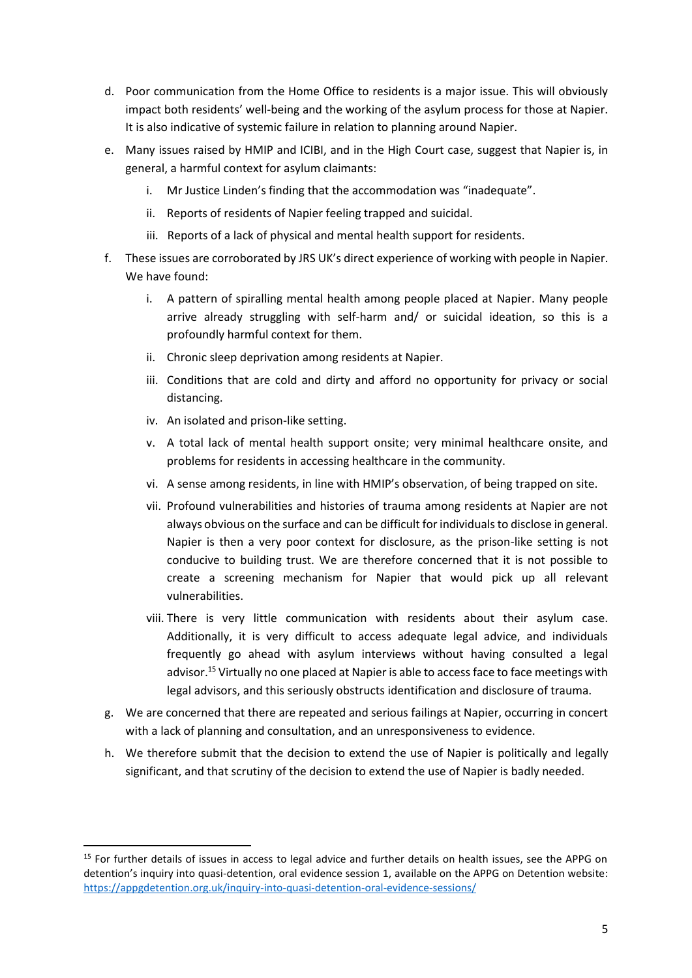- d. Poor communication from the Home Office to residents is a major issue. This will obviously impact both residents' well-being and the working of the asylum process for those at Napier. It is also indicative of systemic failure in relation to planning around Napier.
- e. Many issues raised by HMIP and ICIBI, and in the High Court case, suggest that Napier is, in general, a harmful context for asylum claimants:
	- i. Mr Justice Linden's finding that the accommodation was "inadequate".
	- ii. Reports of residents of Napier feeling trapped and suicidal.
	- iii. Reports of a lack of physical and mental health support for residents.
- f. These issues are corroborated by JRS UK's direct experience of working with people in Napier. We have found:
	- i. A pattern of spiralling mental health among people placed at Napier. Many people arrive already struggling with self-harm and/ or suicidal ideation, so this is a profoundly harmful context for them.
	- ii. Chronic sleep deprivation among residents at Napier.
	- iii. Conditions that are cold and dirty and afford no opportunity for privacy or social distancing.
	- iv. An isolated and prison-like setting.
	- v. A total lack of mental health support onsite; very minimal healthcare onsite, and problems for residents in accessing healthcare in the community.
	- vi. A sense among residents, in line with HMIP's observation, of being trapped on site.
	- vii. Profound vulnerabilities and histories of trauma among residents at Napier are not always obvious on the surface and can be difficult for individuals to disclose in general. Napier is then a very poor context for disclosure, as the prison-like setting is not conducive to building trust. We are therefore concerned that it is not possible to create a screening mechanism for Napier that would pick up all relevant vulnerabilities.
	- viii. There is very little communication with residents about their asylum case. Additionally, it is very difficult to access adequate legal advice, and individuals frequently go ahead with asylum interviews without having consulted a legal advisor.<sup>15</sup> Virtually no one placed at Napier is able to access face to face meetings with legal advisors, and this seriously obstructs identification and disclosure of trauma.
- g. We are concerned that there are repeated and serious failings at Napier, occurring in concert with a lack of planning and consultation, and an unresponsiveness to evidence.
- h. We therefore submit that the decision to extend the use of Napier is politically and legally significant, and that scrutiny of the decision to extend the use of Napier is badly needed.

<sup>&</sup>lt;sup>15</sup> For further details of issues in access to legal advice and further details on health issues, see the APPG on detention's inquiry into quasi-detention, oral evidence session 1, available on the APPG on Detention website: <https://appgdetention.org.uk/inquiry-into-quasi-detention-oral-evidence-sessions/>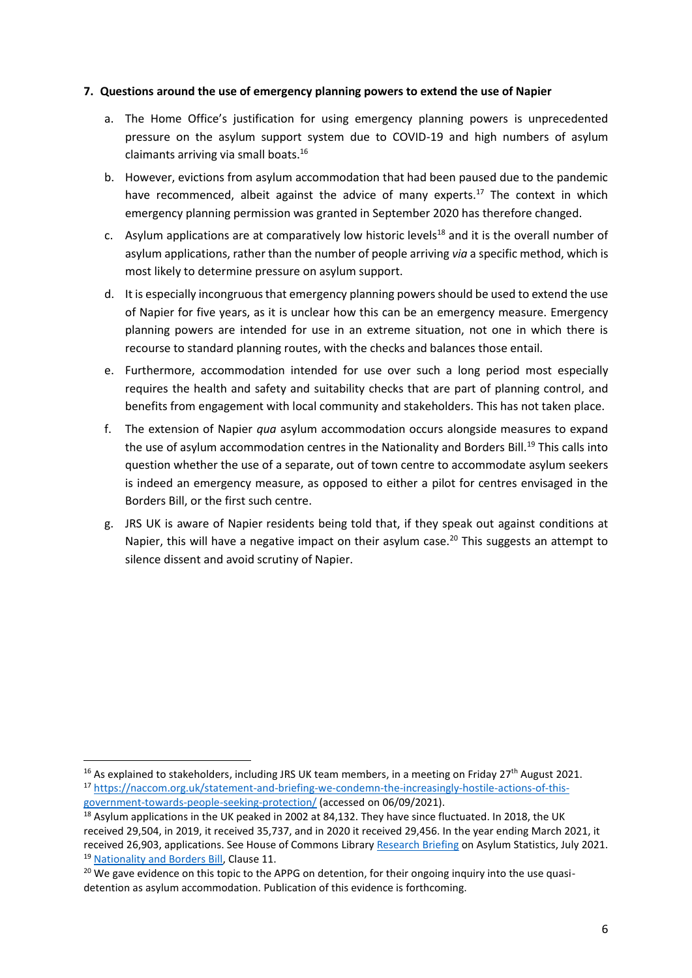#### **7. Questions around the use of emergency planning powers to extend the use of Napier**

- a. The Home Office's justification for using emergency planning powers is unprecedented pressure on the asylum support system due to COVID-19 and high numbers of asylum claimants arriving via small boats.<sup>16</sup>
- b. However, evictions from asylum accommodation that had been paused due to the pandemic have recommenced, albeit against the advice of many experts.<sup>17</sup> The context in which emergency planning permission was granted in September 2020 has therefore changed.
- c. Asylum applications are at comparatively low historic levels<sup>18</sup> and it is the overall number of asylum applications, rather than the number of people arriving *via* a specific method, which is most likely to determine pressure on asylum support.
- d. It is especially incongruous that emergency planning powers should be used to extend the use of Napier for five years, as it is unclear how this can be an emergency measure. Emergency planning powers are intended for use in an extreme situation, not one in which there is recourse to standard planning routes, with the checks and balances those entail.
- e. Furthermore, accommodation intended for use over such a long period most especially requires the health and safety and suitability checks that are part of planning control, and benefits from engagement with local community and stakeholders. This has not taken place.
- f. The extension of Napier *qua* asylum accommodation occurs alongside measures to expand the use of asylum accommodation centres in the Nationality and Borders Bill.<sup>19</sup> This calls into question whether the use of a separate, out of town centre to accommodate asylum seekers is indeed an emergency measure, as opposed to either a pilot for centres envisaged in the Borders Bill, or the first such centre.
- g. JRS UK is aware of Napier residents being told that, if they speak out against conditions at Napier, this will have a negative impact on their asylum case.<sup>20</sup> This suggests an attempt to silence dissent and avoid scrutiny of Napier.

<sup>&</sup>lt;sup>16</sup> As explained to stakeholders, including JRS UK team members, in a meeting on Friday 27<sup>th</sup> August 2021. <sup>17</sup> [https://naccom.org.uk/statement-and-briefing-we-condemn-the-increasingly-hostile-actions-of-this](https://naccom.org.uk/statement-and-briefing-we-condemn-the-increasingly-hostile-actions-of-this-government-towards-people-seeking-protection/)[government-towards-people-seeking-protection/](https://naccom.org.uk/statement-and-briefing-we-condemn-the-increasingly-hostile-actions-of-this-government-towards-people-seeking-protection/) (accessed on 06/09/2021).

<sup>&</sup>lt;sup>18</sup> Asylum applications in the UK peaked in 2002 at 84,132. They have since fluctuated. In 2018, the UK received 29,504, in 2019, it received 35,737, and in 2020 it received 29,456. In the year ending March 2021, it received 26,903, applications. See House of Commons Library [Research Briefing](https://commonslibrary.parliament.uk/research-briefings/sn01403/) on Asylum Statistics, July 2021. <sup>19</sup> [Nationality and Borders Bill,](https://bills.parliament.uk/bills/3023) Clause 11.

<sup>&</sup>lt;sup>20</sup> We gave evidence on this topic to the APPG on detention, for their ongoing inquiry into the use quasidetention as asylum accommodation. Publication of this evidence is forthcoming.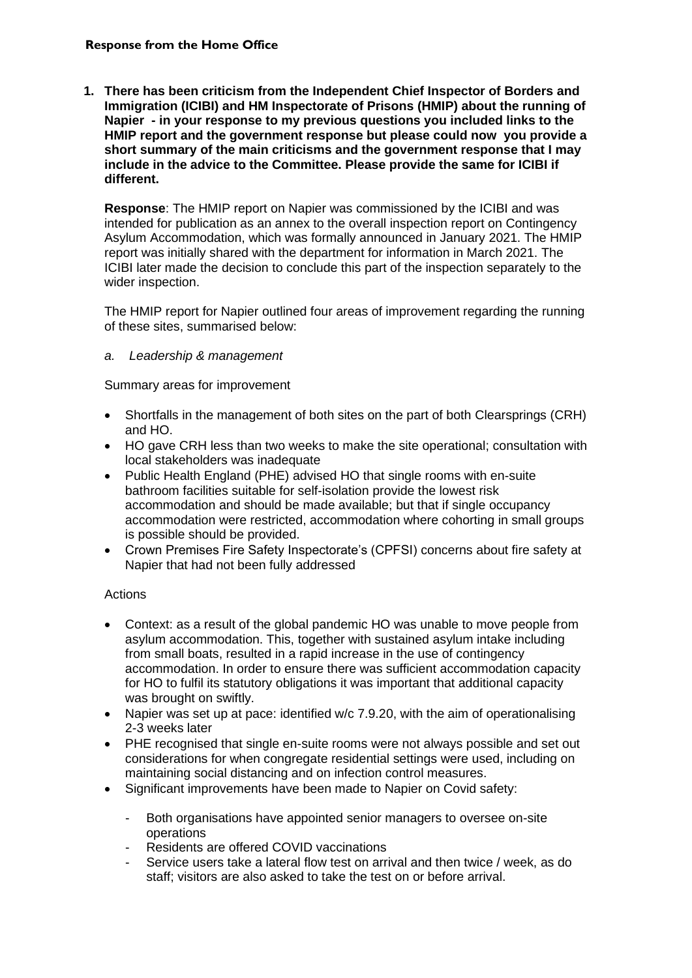**1. There has been criticism from the Independent Chief Inspector of Borders and Immigration (ICIBI) and HM Inspectorate of Prisons (HMIP) about the running of Napier - in your response to my previous questions you included links to the HMIP report and the government response but please could now you provide a short summary of the main criticisms and the government response that I may include in the advice to the Committee. Please provide the same for ICIBI if different.**

**Response**: The HMIP report on Napier was commissioned by the ICIBI and was intended for publication as an annex to the overall inspection report on Contingency Asylum Accommodation, which was formally announced in January 2021. The HMIP report was initially shared with the department for information in March 2021. The ICIBI later made the decision to conclude this part of the inspection separately to the wider inspection.

The HMIP report for Napier outlined four areas of improvement regarding the running of these sites, summarised below:

# *a. Leadership & management*

Summary areas for improvement

- Shortfalls in the management of both sites on the part of both Clearsprings (CRH) and HO.
- HO gave CRH less than two weeks to make the site operational; consultation with local stakeholders was inadequate
- Public Health England (PHE) advised HO that single rooms with en-suite bathroom facilities suitable for self-isolation provide the lowest risk accommodation and should be made available; but that if single occupancy accommodation were restricted, accommodation where cohorting in small groups is possible should be provided.
- Crown Premises Fire Safety Inspectorate's (CPFSI) concerns about fire safety at Napier that had not been fully addressed

# Actions

- Context: as a result of the global pandemic HO was unable to move people from asylum accommodation. This, together with sustained asylum intake including from small boats, resulted in a rapid increase in the use of contingency accommodation. In order to ensure there was sufficient accommodation capacity for HO to fulfil its statutory obligations it was important that additional capacity was brought on swiftly.
- Napier was set up at pace: identified w/c 7.9.20, with the aim of operationalising 2-3 weeks later
- PHE recognised that single en-suite rooms were not always possible and set out considerations for when congregate residential settings were used, including on maintaining social distancing and on infection control measures.
- Significant improvements have been made to Napier on Covid safety:
	- Both organisations have appointed senior managers to oversee on-site operations
	- Residents are offered COVID vaccinations
	- Service users take a lateral flow test on arrival and then twice / week, as do staff; visitors are also asked to take the test on or before arrival.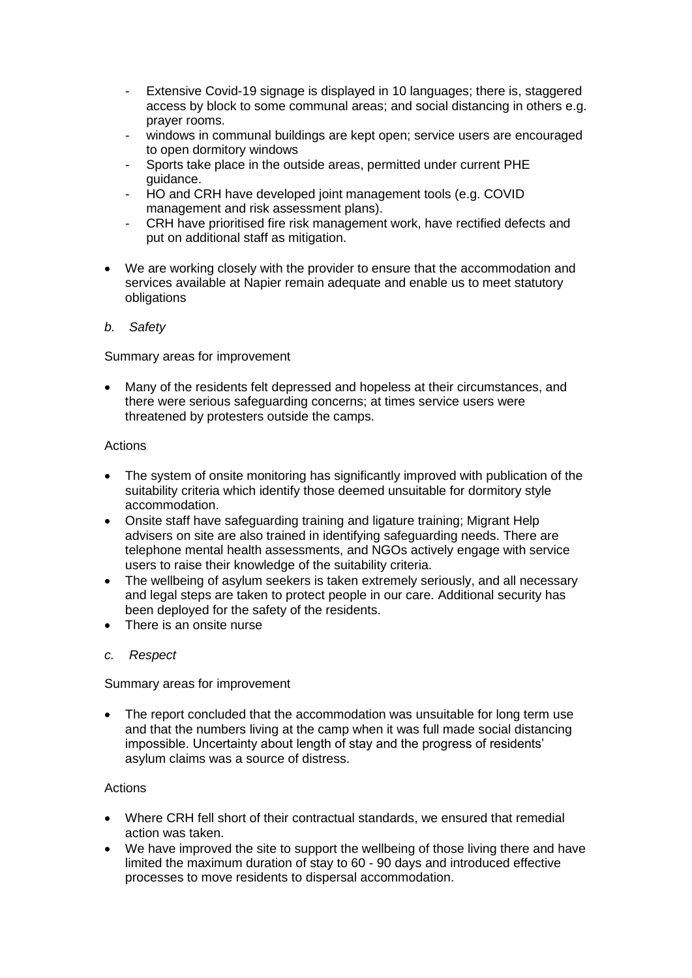- Extensive Covid-19 signage is displayed in 10 languages; there is, staggered access by block to some communal areas; and social distancing in others e.g. prayer rooms.
- windows in communal buildings are kept open; service users are encouraged to open dormitory windows
- Sports take place in the outside areas, permitted under current PHE guidance.
- HO and CRH have developed joint management tools (e.g. COVID management and risk assessment plans).
- CRH have prioritised fire risk management work, have rectified defects and put on additional staff as mitigation.
- We are working closely with the provider to ensure that the accommodation and services available at Napier remain adequate and enable us to meet statutory obligations
- *b. Safety*

Summary areas for improvement

• Many of the residents felt depressed and hopeless at their circumstances, and there were serious safeguarding concerns; at times service users were threatened by protesters outside the camps.

#### Actions

- The system of onsite monitoring has significantly improved with publication of the suitability criteria which identify those deemed unsuitable for dormitory style accommodation.
- Onsite staff have safeguarding training and ligature training; Migrant Help advisers on site are also trained in identifying safeguarding needs. There are telephone mental health assessments, and NGOs actively engage with service users to raise their knowledge of the suitability criteria.
- The wellbeing of asylum seekers is taken extremely seriously, and all necessary and legal steps are taken to protect people in our care. Additional security has been deployed for the safety of the residents.
- There is an onsite nurse
- *c. Respect*

Summary areas for improvement

• The report concluded that the accommodation was unsuitable for long term use and that the numbers living at the camp when it was full made social distancing impossible. Uncertainty about length of stay and the progress of residents' asylum claims was a source of distress.

# Actions

- Where CRH fell short of their contractual standards, we ensured that remedial action was taken.
- We have improved the site to support the wellbeing of those living there and have limited the maximum duration of stay to 60 - 90 days and introduced effective processes to move residents to dispersal accommodation.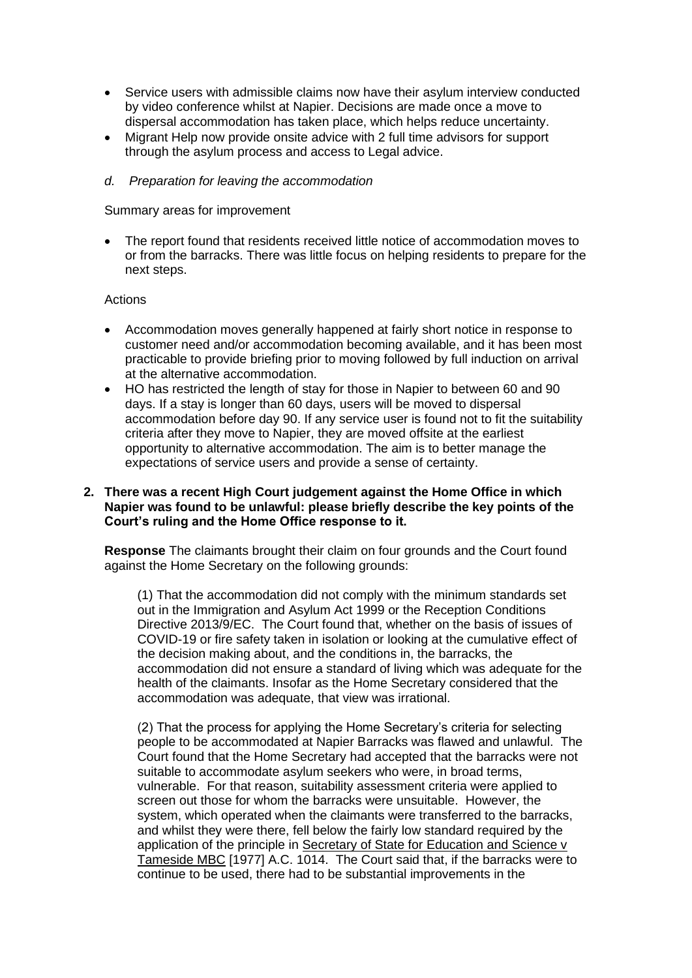- Service users with admissible claims now have their asylum interview conducted by video conference whilst at Napier. Decisions are made once a move to dispersal accommodation has taken place, which helps reduce uncertainty.
- Migrant Help now provide onsite advice with 2 full time advisors for support through the asylum process and access to Legal advice.
- *d. Preparation for leaving the accommodation*

Summary areas for improvement

• The report found that residents received little notice of accommodation moves to or from the barracks. There was little focus on helping residents to prepare for the next steps.

#### Actions

- Accommodation moves generally happened at fairly short notice in response to customer need and/or accommodation becoming available, and it has been most practicable to provide briefing prior to moving followed by full induction on arrival at the alternative accommodation.
- HO has restricted the length of stay for those in Napier to between 60 and 90 days. If a stay is longer than 60 days, users will be moved to dispersal accommodation before day 90. If any service user is found not to fit the suitability criteria after they move to Napier, they are moved offsite at the earliest opportunity to alternative accommodation. The aim is to better manage the expectations of service users and provide a sense of certainty.

#### **2. There was a recent High Court judgement against the Home Office in which Napier was found to be unlawful: please briefly describe the key points of the Court's ruling and the Home Office response to it.**

**Response** The claimants brought their claim on four grounds and the Court found against the Home Secretary on the following grounds:

(1) That the accommodation did not comply with the minimum standards set out in the Immigration and Asylum Act 1999 or the Reception Conditions Directive 2013/9/EC. The Court found that, whether on the basis of issues of COVID-19 or fire safety taken in isolation or looking at the cumulative effect of the decision making about, and the conditions in, the barracks, the accommodation did not ensure a standard of living which was adequate for the health of the claimants. Insofar as the Home Secretary considered that the accommodation was adequate, that view was irrational.

(2) That the process for applying the Home Secretary's criteria for selecting people to be accommodated at Napier Barracks was flawed and unlawful. The Court found that the Home Secretary had accepted that the barracks were not suitable to accommodate asylum seekers who were, in broad terms, vulnerable. For that reason, suitability assessment criteria were applied to screen out those for whom the barracks were unsuitable. However, the system, which operated when the claimants were transferred to the barracks, and whilst they were there, fell below the fairly low standard required by the application of the principle in Secretary of State for Education and Science v Tameside MBC [1977] A.C. 1014. The Court said that, if the barracks were to continue to be used, there had to be substantial improvements in the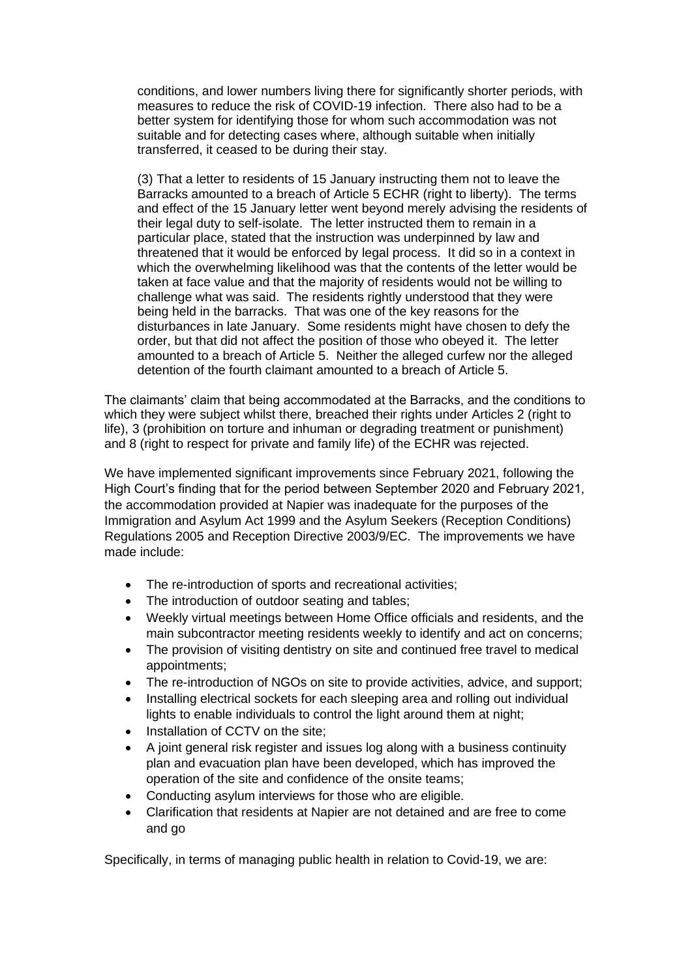conditions, and lower numbers living there for significantly shorter periods, with measures to reduce the risk of COVID-19 infection. There also had to be a better system for identifying those for whom such accommodation was not suitable and for detecting cases where, although suitable when initially transferred, it ceased to be during their stay.

(3) That a letter to residents of 15 January instructing them not to leave the Barracks amounted to a breach of Article 5 ECHR (right to liberty). The terms and effect of the 15 January letter went beyond merely advising the residents of their legal duty to self-isolate. The letter instructed them to remain in a particular place, stated that the instruction was underpinned by law and threatened that it would be enforced by legal process. It did so in a context in which the overwhelming likelihood was that the contents of the letter would be taken at face value and that the majority of residents would not be willing to challenge what was said. The residents rightly understood that they were being held in the barracks. That was one of the key reasons for the disturbances in late January. Some residents might have chosen to defy the order, but that did not affect the position of those who obeyed it. The letter amounted to a breach of Article 5. Neither the alleged curfew nor the alleged detention of the fourth claimant amounted to a breach of Article 5.

The claimants' claim that being accommodated at the Barracks, and the conditions to which they were subject whilst there, breached their rights under Articles 2 (right to life), 3 (prohibition on torture and inhuman or degrading treatment or punishment) and 8 (right to respect for private and family life) of the ECHR was rejected.

We have implemented significant improvements since February 2021, following the High Court's finding that for the period between September 2020 and February 2021, the accommodation provided at Napier was inadequate for the purposes of the Immigration and Asylum Act 1999 and the Asylum Seekers (Reception Conditions) Regulations 2005 and Reception Directive 2003/9/EC. The improvements we have made include:

- The re-introduction of sports and recreational activities;
- The introduction of outdoor seating and tables;
- Weekly virtual meetings between Home Office officials and residents, and the main subcontractor meeting residents weekly to identify and act on concerns;
- The provision of visiting dentistry on site and continued free travel to medical appointments;
- The re-introduction of NGOs on site to provide activities, advice, and support;
- Installing electrical sockets for each sleeping area and rolling out individual lights to enable individuals to control the light around them at night;
- Installation of CCTV on the site:
- A joint general risk register and issues log along with a business continuity plan and evacuation plan have been developed, which has improved the operation of the site and confidence of the onsite teams;
- Conducting asylum interviews for those who are eligible.
- Clarification that residents at Napier are not detained and are free to come and go

Specifically, in terms of managing public health in relation to Covid-19, we are: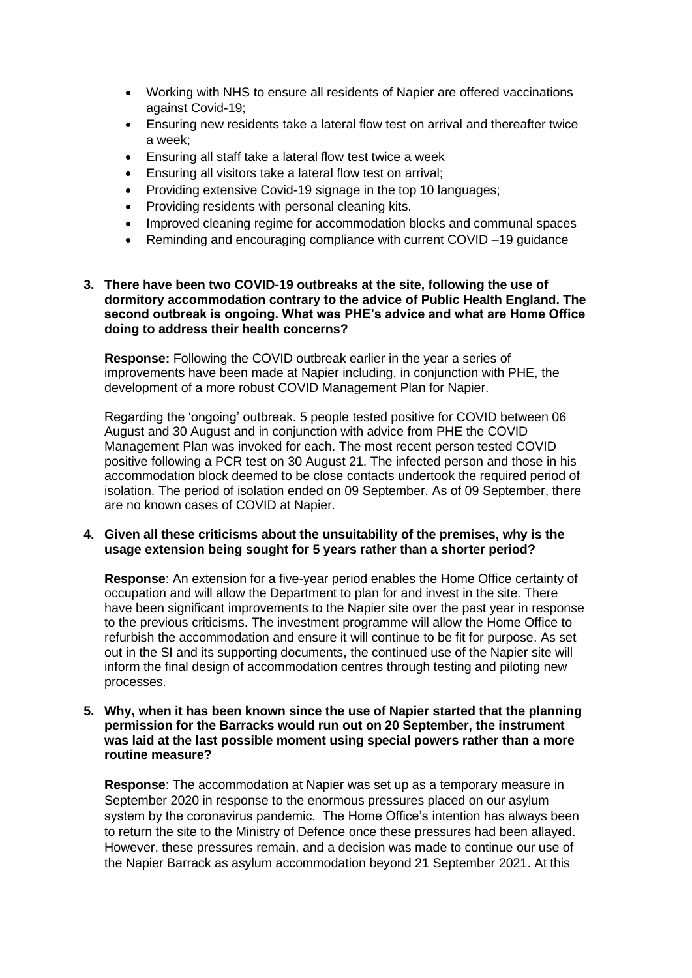- Working with NHS to ensure all residents of Napier are offered vaccinations against Covid-19;
- Ensuring new residents take a lateral flow test on arrival and thereafter twice a week;
- Ensuring all staff take a lateral flow test twice a week
- Ensuring all visitors take a lateral flow test on arrival;
- Providing extensive Covid-19 signage in the top 10 languages;
- Providing residents with personal cleaning kits.
- Improved cleaning regime for accommodation blocks and communal spaces
- Reminding and encouraging compliance with current COVID –19 guidance

# **3. There have been two COVID-19 outbreaks at the site, following the use of dormitory accommodation contrary to the advice of Public Health England. The second outbreak is ongoing. What was PHE's advice and what are Home Office doing to address their health concerns?**

**Response:** Following the COVID outbreak earlier in the year a series of improvements have been made at Napier including, in conjunction with PHE, the development of a more robust COVID Management Plan for Napier.

Regarding the 'ongoing' outbreak. 5 people tested positive for COVID between 06 August and 30 August and in conjunction with advice from PHE the COVID Management Plan was invoked for each. The most recent person tested COVID positive following a PCR test on 30 August 21. The infected person and those in his accommodation block deemed to be close contacts undertook the required period of isolation. The period of isolation ended on 09 September. As of 09 September, there are no known cases of COVID at Napier.

#### **4. Given all these criticisms about the unsuitability of the premises, why is the usage extension being sought for 5 years rather than a shorter period?**

**Response**: An extension for a five-year period enables the Home Office certainty of occupation and will allow the Department to plan for and invest in the site. There have been significant improvements to the Napier site over the past year in response to the previous criticisms. The investment programme will allow the Home Office to refurbish the accommodation and ensure it will continue to be fit for purpose. As set out in the SI and its supporting documents, the continued use of the Napier site will inform the final design of accommodation centres through testing and piloting new processes.

#### **5. Why, when it has been known since the use of Napier started that the planning permission for the Barracks would run out on 20 September, the instrument was laid at the last possible moment using special powers rather than a more routine measure?**

**Response**: The accommodation at Napier was set up as a temporary measure in September 2020 in response to the enormous pressures placed on our asylum system by the coronavirus pandemic. The Home Office's intention has always been to return the site to the Ministry of Defence once these pressures had been allayed. However, these pressures remain, and a decision was made to continue our use of the Napier Barrack as asylum accommodation beyond 21 September 2021. At this